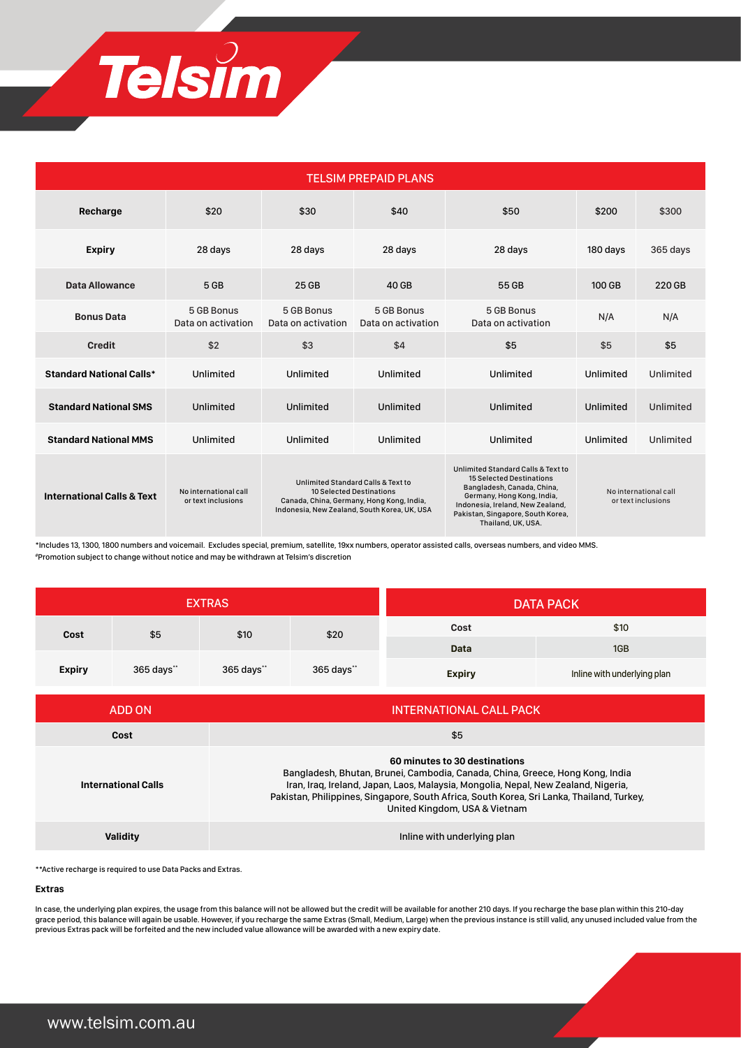

| <b>TELSIM PREPAID PLANS</b>           |                                             |                                                                                                                                                             |                                  |                                                                                                                                                                                                                                  |                                             |           |  |  |  |  |
|---------------------------------------|---------------------------------------------|-------------------------------------------------------------------------------------------------------------------------------------------------------------|----------------------------------|----------------------------------------------------------------------------------------------------------------------------------------------------------------------------------------------------------------------------------|---------------------------------------------|-----------|--|--|--|--|
| Recharge                              | \$20                                        | \$30                                                                                                                                                        | \$40                             | \$50                                                                                                                                                                                                                             | \$200                                       | \$300     |  |  |  |  |
| <b>Expiry</b>                         | 28 days                                     | 28 days                                                                                                                                                     | 28 days                          | 28 days                                                                                                                                                                                                                          | 180 days                                    | 365 days  |  |  |  |  |
| <b>Data Allowance</b>                 | 5 GB                                        | 25 GB                                                                                                                                                       | 40 GB                            | 55 GB                                                                                                                                                                                                                            | 100 GB                                      | 220 GB    |  |  |  |  |
| <b>Bonus Data</b>                     | 5 GB Bonus<br>Data on activation            | 5 GB Bonus<br>Data on activation                                                                                                                            | 5 GB Bonus<br>Data on activation | 5 GB Bonus<br>Data on activation                                                                                                                                                                                                 | N/A                                         | N/A       |  |  |  |  |
| <b>Credit</b>                         | \$2                                         | \$3                                                                                                                                                         | \$4                              | \$5                                                                                                                                                                                                                              | \$5                                         | \$5       |  |  |  |  |
| <b>Standard National Calls*</b>       | Unlimited                                   | Unlimited                                                                                                                                                   | Unlimited                        | Unlimited                                                                                                                                                                                                                        | Unlimited                                   | Unlimited |  |  |  |  |
| <b>Standard National SMS</b>          | <b>Unlimited</b>                            | Unlimited                                                                                                                                                   | Unlimited                        | Unlimited                                                                                                                                                                                                                        | Unlimited                                   | Unlimited |  |  |  |  |
| <b>Standard National MMS</b>          | Unlimited                                   | Unlimited                                                                                                                                                   | Unlimited                        | Unlimited                                                                                                                                                                                                                        | Unlimited                                   | Unlimited |  |  |  |  |
| <b>International Calls &amp; Text</b> | No international call<br>or text inclusions | Unlimited Standard Calls & Text to<br>10 Selected Destinations<br>Canada, China, Germany, Hong Kong, India,<br>Indonesia, New Zealand, South Korea, UK, USA |                                  | Unlimited Standard Calls & Text to<br><b>15 Selected Destinations</b><br>Bangladesh, Canada, China,<br>Germany, Hong Kong, India,<br>Indonesia, Ireland, New Zealand,<br>Pakistan, Singapore, South Korea,<br>Thailand, UK, USA. | No international call<br>or text inclusions |           |  |  |  |  |

\*Includes 13, 1300, 1800 numbers and voicemail. Excludes special, premium, satellite, 19xx numbers, operator assisted calls, overseas numbers, and video MMS. #Promotion subject to change without notice and may be withdrawn at Telsim's discretion

| <b>EXTRAS</b> |            |              |            | <b>DATA PACK</b> |                             |  |
|---------------|------------|--------------|------------|------------------|-----------------------------|--|
| Cost          | \$5        | \$10<br>\$20 |            | Cost             | \$10                        |  |
|               |            |              |            | Data             | 1GB                         |  |
| <b>Expiry</b> | 365 days** | 365 days"    | 365 days** | <b>Expiry</b>    | Inline with underlying plan |  |

| ADD ON                     | INTERNATIONAL CALL PACK                                                                                                                                                                                                                                                                                                            |
|----------------------------|------------------------------------------------------------------------------------------------------------------------------------------------------------------------------------------------------------------------------------------------------------------------------------------------------------------------------------|
| Cost                       | \$5                                                                                                                                                                                                                                                                                                                                |
| <b>International Calls</b> | 60 minutes to 30 destinations<br>Bangladesh, Bhutan, Brunei, Cambodia, Canada, China, Greece, Hong Kong, India<br>Iran, Iraq, Ireland, Japan, Laos, Malaysia, Mongolia, Nepal, New Zealand, Nigeria,<br>Pakistan, Philippines, Singapore, South Africa, South Korea, Sri Lanka, Thailand, Turkey,<br>United Kingdom, USA & Vietnam |
| Validitv                   | Inline with underlying plan                                                                                                                                                                                                                                                                                                        |

\*\*Active recharge is required to use Data Packs and Extras.

#### **Extras**

In case, the underlying plan expires, the usage from this balance will not be allowed but the credit will be available for another 210 days. If you recharge the base plan within this 210-day grace period, this balance will again be usable. However, if you recharge the same Extras (Small, Medium, Large) when the previous instance is still valid, any unused included value from the previous Extras pack will be forfeited and the new included value allowance will be awarded with a new expiry date.